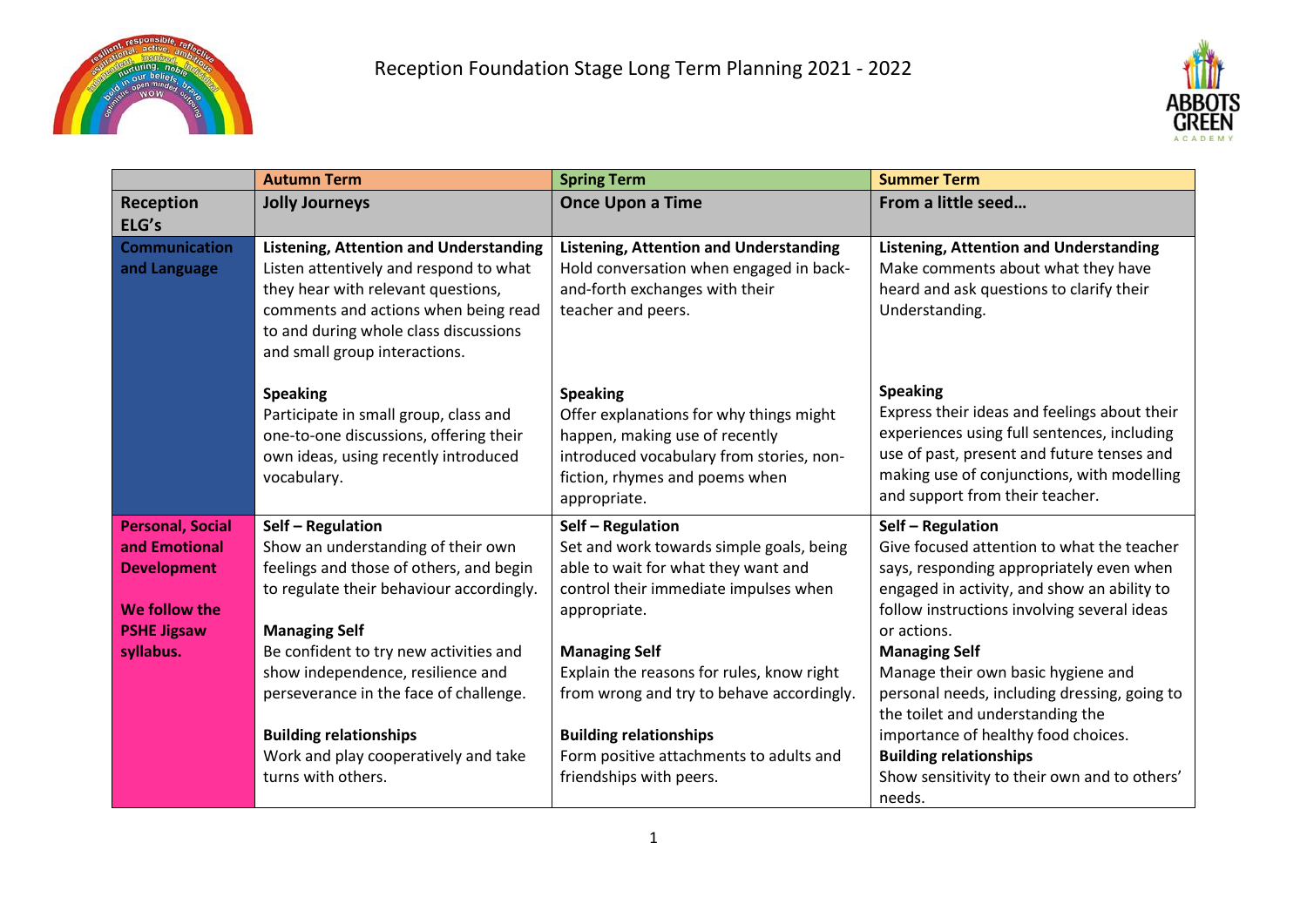



|                                      | <b>Autumn Term</b>                                                                                                                                                                                                                              | <b>Spring Term</b>                                                                                                                                                                         | <b>Summer Term</b>                                                                                                                                                                                                                            |
|--------------------------------------|-------------------------------------------------------------------------------------------------------------------------------------------------------------------------------------------------------------------------------------------------|--------------------------------------------------------------------------------------------------------------------------------------------------------------------------------------------|-----------------------------------------------------------------------------------------------------------------------------------------------------------------------------------------------------------------------------------------------|
| Reception                            | <b>Jolly Journeys</b>                                                                                                                                                                                                                           | <b>Once Upon a Time</b>                                                                                                                                                                    | From a little seed                                                                                                                                                                                                                            |
| ELG's                                |                                                                                                                                                                                                                                                 |                                                                                                                                                                                            |                                                                                                                                                                                                                                               |
| <b>Communication</b><br>and Language | <b>Listening, Attention and Understanding</b><br>Listen attentively and respond to what<br>they hear with relevant questions,<br>comments and actions when being read<br>to and during whole class discussions<br>and small group interactions. | <b>Listening, Attention and Understanding</b><br>Hold conversation when engaged in back-<br>and-forth exchanges with their<br>teacher and peers.                                           | <b>Listening, Attention and Understanding</b><br>Make comments about what they have<br>heard and ask questions to clarify their<br>Understanding.                                                                                             |
|                                      | <b>Speaking</b><br>Participate in small group, class and<br>one-to-one discussions, offering their<br>own ideas, using recently introduced<br>vocabulary.                                                                                       | <b>Speaking</b><br>Offer explanations for why things might<br>happen, making use of recently<br>introduced vocabulary from stories, non-<br>fiction, rhymes and poems when<br>appropriate. | <b>Speaking</b><br>Express their ideas and feelings about their<br>experiences using full sentences, including<br>use of past, present and future tenses and<br>making use of conjunctions, with modelling<br>and support from their teacher. |
| <b>Personal, Social</b>              | Self - Regulation                                                                                                                                                                                                                               | Self - Regulation                                                                                                                                                                          | Self - Regulation                                                                                                                                                                                                                             |
| and Emotional                        | Show an understanding of their own                                                                                                                                                                                                              | Set and work towards simple goals, being                                                                                                                                                   | Give focused attention to what the teacher                                                                                                                                                                                                    |
| <b>Development</b>                   | feelings and those of others, and begin                                                                                                                                                                                                         | able to wait for what they want and                                                                                                                                                        | says, responding appropriately even when                                                                                                                                                                                                      |
|                                      | to regulate their behaviour accordingly.                                                                                                                                                                                                        | control their immediate impulses when                                                                                                                                                      | engaged in activity, and show an ability to                                                                                                                                                                                                   |
| We follow the                        |                                                                                                                                                                                                                                                 | appropriate.                                                                                                                                                                               | follow instructions involving several ideas                                                                                                                                                                                                   |
| <b>PSHE Jigsaw</b>                   | <b>Managing Self</b>                                                                                                                                                                                                                            |                                                                                                                                                                                            | or actions.                                                                                                                                                                                                                                   |
| syllabus.                            | Be confident to try new activities and                                                                                                                                                                                                          | <b>Managing Self</b>                                                                                                                                                                       | <b>Managing Self</b>                                                                                                                                                                                                                          |
|                                      | show independence, resilience and                                                                                                                                                                                                               | Explain the reasons for rules, know right                                                                                                                                                  | Manage their own basic hygiene and                                                                                                                                                                                                            |
|                                      | perseverance in the face of challenge.                                                                                                                                                                                                          | from wrong and try to behave accordingly.                                                                                                                                                  | personal needs, including dressing, going to<br>the toilet and understanding the                                                                                                                                                              |
|                                      | <b>Building relationships</b>                                                                                                                                                                                                                   | <b>Building relationships</b>                                                                                                                                                              | importance of healthy food choices.                                                                                                                                                                                                           |
|                                      | Work and play cooperatively and take                                                                                                                                                                                                            | Form positive attachments to adults and                                                                                                                                                    | <b>Building relationships</b>                                                                                                                                                                                                                 |
|                                      | turns with others.                                                                                                                                                                                                                              | friendships with peers.                                                                                                                                                                    | Show sensitivity to their own and to others'                                                                                                                                                                                                  |
|                                      |                                                                                                                                                                                                                                                 |                                                                                                                                                                                            | needs.                                                                                                                                                                                                                                        |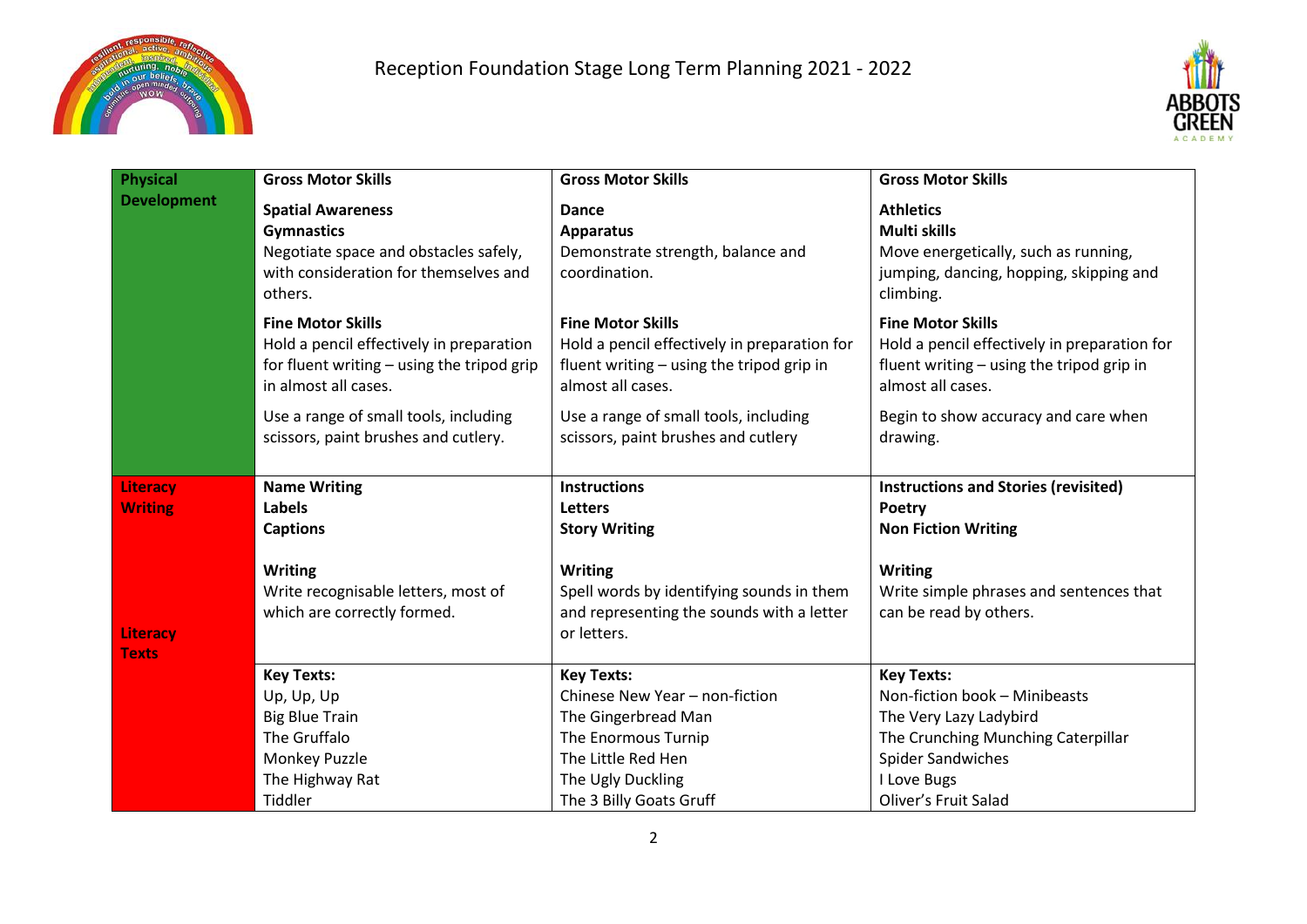



| <b>Physical</b>                   | <b>Gross Motor Skills</b>                                                                                                                  | <b>Gross Motor Skills</b>                                                                                                                                               | <b>Gross Motor Skills</b>                                                                                                                                                             |
|-----------------------------------|--------------------------------------------------------------------------------------------------------------------------------------------|-------------------------------------------------------------------------------------------------------------------------------------------------------------------------|---------------------------------------------------------------------------------------------------------------------------------------------------------------------------------------|
| <b>Development</b>                | <b>Spatial Awareness</b><br><b>Gymnastics</b><br>Negotiate space and obstacles safely,<br>with consideration for themselves and<br>others. | Dance<br><b>Apparatus</b><br>Demonstrate strength, balance and<br>coordination.                                                                                         | <b>Athletics</b><br>Multi skills<br>Move energetically, such as running,<br>jumping, dancing, hopping, skipping and<br>climbing.                                                      |
|                                   | <b>Fine Motor Skills</b><br>Hold a pencil effectively in preparation<br>for fluent writing - using the tripod grip<br>in almost all cases. | <b>Fine Motor Skills</b><br>Hold a pencil effectively in preparation for<br>fluent writing - using the tripod grip in<br>almost all cases.                              | <b>Fine Motor Skills</b><br>Hold a pencil effectively in preparation for<br>fluent writing - using the tripod grip in<br>almost all cases.                                            |
|                                   | Use a range of small tools, including<br>scissors, paint brushes and cutlery.                                                              | Use a range of small tools, including<br>scissors, paint brushes and cutlery                                                                                            | Begin to show accuracy and care when<br>drawing.                                                                                                                                      |
| <b>Literacy</b><br><b>Writing</b> | <b>Name Writing</b><br>Labels<br><b>Captions</b>                                                                                           | <b>Instructions</b><br><b>Letters</b><br><b>Story Writing</b>                                                                                                           | <b>Instructions and Stories (revisited)</b><br><b>Poetry</b><br><b>Non Fiction Writing</b>                                                                                            |
| Literacy<br><b>Texts</b>          | <b>Writing</b><br>Write recognisable letters, most of<br>which are correctly formed.                                                       | <b>Writing</b><br>Spell words by identifying sounds in them<br>and representing the sounds with a letter<br>or letters.                                                 | <b>Writing</b><br>Write simple phrases and sentences that<br>can be read by others.                                                                                                   |
|                                   | <b>Key Texts:</b><br>Up, Up, Up<br><b>Big Blue Train</b><br>The Gruffalo<br>Monkey Puzzle<br>The Highway Rat<br>Tiddler                    | <b>Key Texts:</b><br>Chinese New Year - non-fiction<br>The Gingerbread Man<br>The Enormous Turnip<br>The Little Red Hen<br>The Ugly Duckling<br>The 3 Billy Goats Gruff | <b>Key Texts:</b><br>Non-fiction book - Minibeasts<br>The Very Lazy Ladybird<br>The Crunching Munching Caterpillar<br><b>Spider Sandwiches</b><br>I Love Bugs<br>Oliver's Fruit Salad |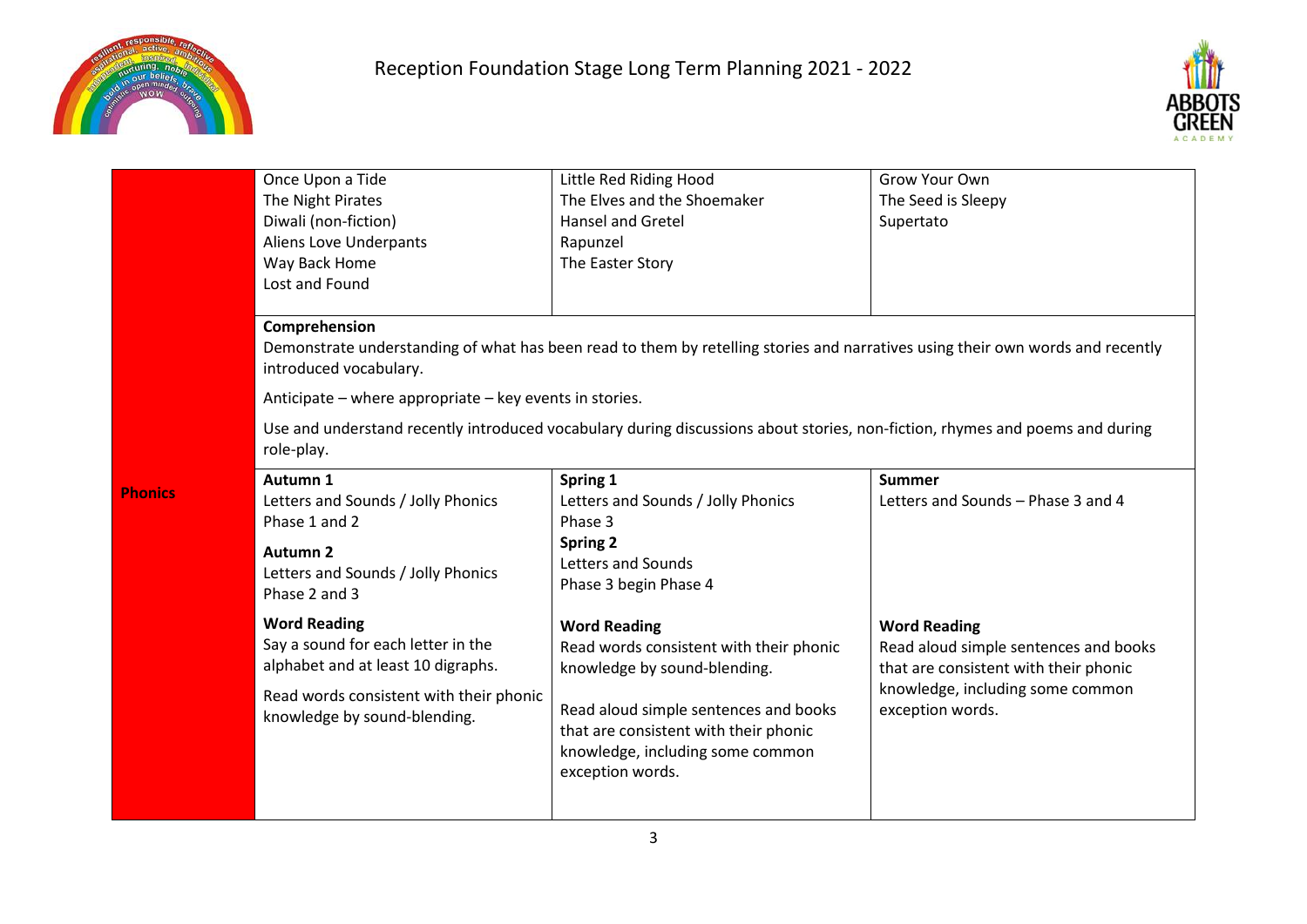

**Phonics** 



| Once Upon a Tide<br>The Night Pirates<br>Diwali (non-fiction)<br>Aliens Love Underpants<br>Way Back Home<br>Lost and Found                                                 | Little Red Riding Hood<br>The Elves and the Shoemaker<br>Hansel and Gretel<br>Rapunzel<br>The Easter Story                                                                                                                                                                                                                | Grow Your Own<br>The Seed is Sleepy<br>Supertato                                                                                                              |  |
|----------------------------------------------------------------------------------------------------------------------------------------------------------------------------|---------------------------------------------------------------------------------------------------------------------------------------------------------------------------------------------------------------------------------------------------------------------------------------------------------------------------|---------------------------------------------------------------------------------------------------------------------------------------------------------------|--|
| Comprehension<br>introduced vocabulary.<br>role-play.                                                                                                                      | Demonstrate understanding of what has been read to them by retelling stories and narratives using their own words and recently<br>Anticipate – where appropriate – key events in stories.<br>Use and understand recently introduced vocabulary during discussions about stories, non-fiction, rhymes and poems and during |                                                                                                                                                               |  |
| Autumn 1<br>Letters and Sounds / Jolly Phonics<br>Phase 1 and 2<br><b>Autumn 2</b><br>Letters and Sounds / Jolly Phonics<br>Phase 2 and 3                                  | Spring 1<br>Letters and Sounds / Jolly Phonics<br>Phase 3<br><b>Spring 2</b><br>Letters and Sounds<br>Phase 3 begin Phase 4                                                                                                                                                                                               | <b>Summer</b><br>Letters and Sounds - Phase 3 and 4                                                                                                           |  |
| <b>Word Reading</b><br>Say a sound for each letter in the<br>alphabet and at least 10 digraphs.<br>Read words consistent with their phonic<br>knowledge by sound-blending. | <b>Word Reading</b><br>Read words consistent with their phonic<br>knowledge by sound-blending.<br>Read aloud simple sentences and books<br>that are consistent with their phonic<br>knowledge, including some common<br>exception words.                                                                                  | <b>Word Reading</b><br>Read aloud simple sentences and books<br>that are consistent with their phonic<br>knowledge, including some common<br>exception words. |  |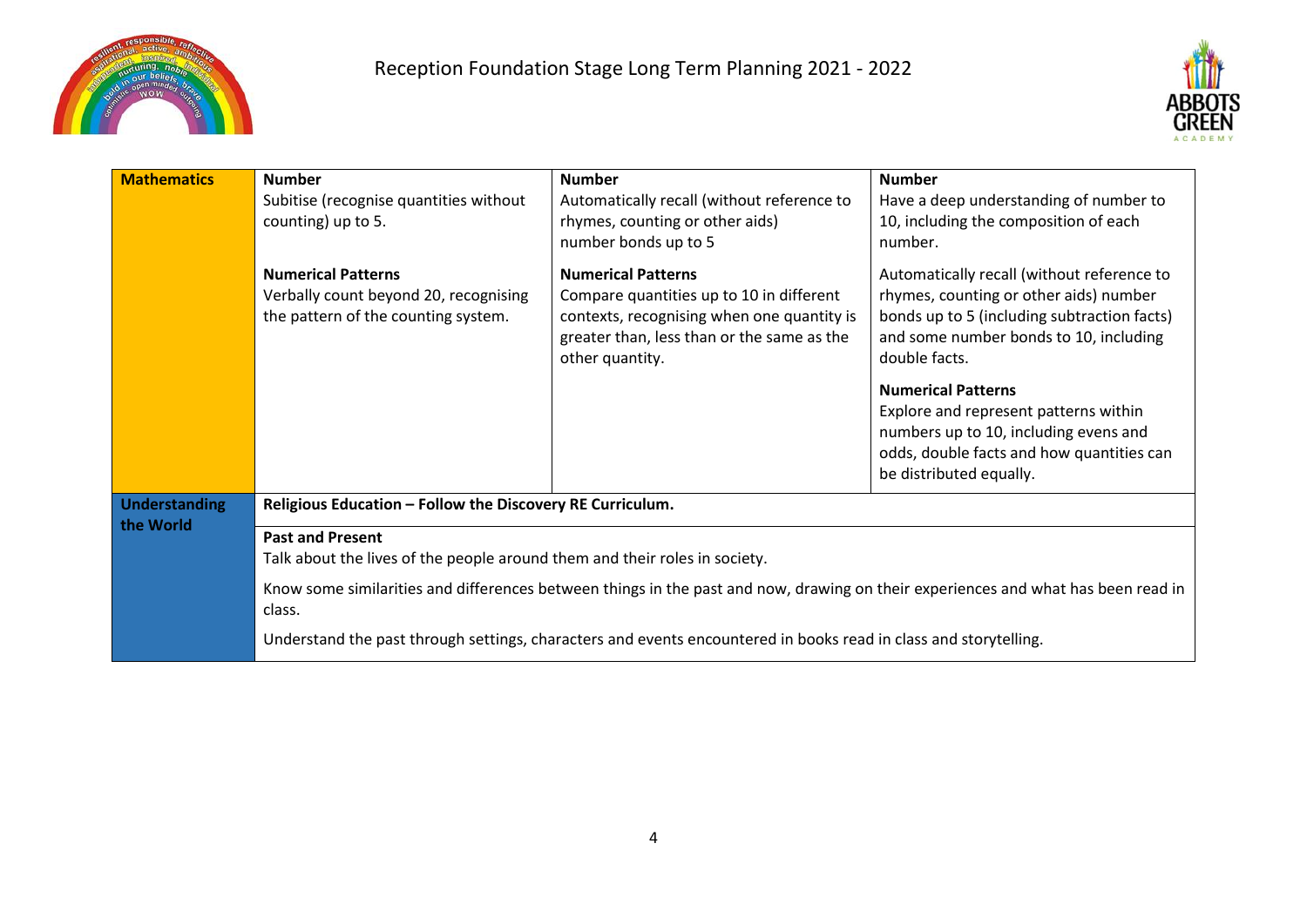



| <b>Mathematics</b>                | <b>Number</b><br>Subitise (recognise quantities without<br>counting) up to 5.                                                               | <b>Number</b><br>Automatically recall (without reference to<br>rhymes, counting or other aids)<br>number bonds up to 5                                                               | <b>Number</b><br>Have a deep understanding of number to<br>10, including the composition of each<br>number.                                                                                    |
|-----------------------------------|---------------------------------------------------------------------------------------------------------------------------------------------|--------------------------------------------------------------------------------------------------------------------------------------------------------------------------------------|------------------------------------------------------------------------------------------------------------------------------------------------------------------------------------------------|
|                                   | <b>Numerical Patterns</b><br>Verbally count beyond 20, recognising<br>the pattern of the counting system.                                   | <b>Numerical Patterns</b><br>Compare quantities up to 10 in different<br>contexts, recognising when one quantity is<br>greater than, less than or the same as the<br>other quantity. | Automatically recall (without reference to<br>rhymes, counting or other aids) number<br>bonds up to 5 (including subtraction facts)<br>and some number bonds to 10, including<br>double facts. |
|                                   |                                                                                                                                             |                                                                                                                                                                                      | <b>Numerical Patterns</b><br>Explore and represent patterns within<br>numbers up to 10, including evens and<br>odds, double facts and how quantities can<br>be distributed equally.            |
| <b>Understanding</b><br>the World | Religious Education - Follow the Discovery RE Curriculum.                                                                                   |                                                                                                                                                                                      |                                                                                                                                                                                                |
|                                   | <b>Past and Present</b><br>Talk about the lives of the people around them and their roles in society.                                       |                                                                                                                                                                                      |                                                                                                                                                                                                |
|                                   | Know some similarities and differences between things in the past and now, drawing on their experiences and what has been read in<br>class. |                                                                                                                                                                                      |                                                                                                                                                                                                |
|                                   | Understand the past through settings, characters and events encountered in books read in class and storytelling.                            |                                                                                                                                                                                      |                                                                                                                                                                                                |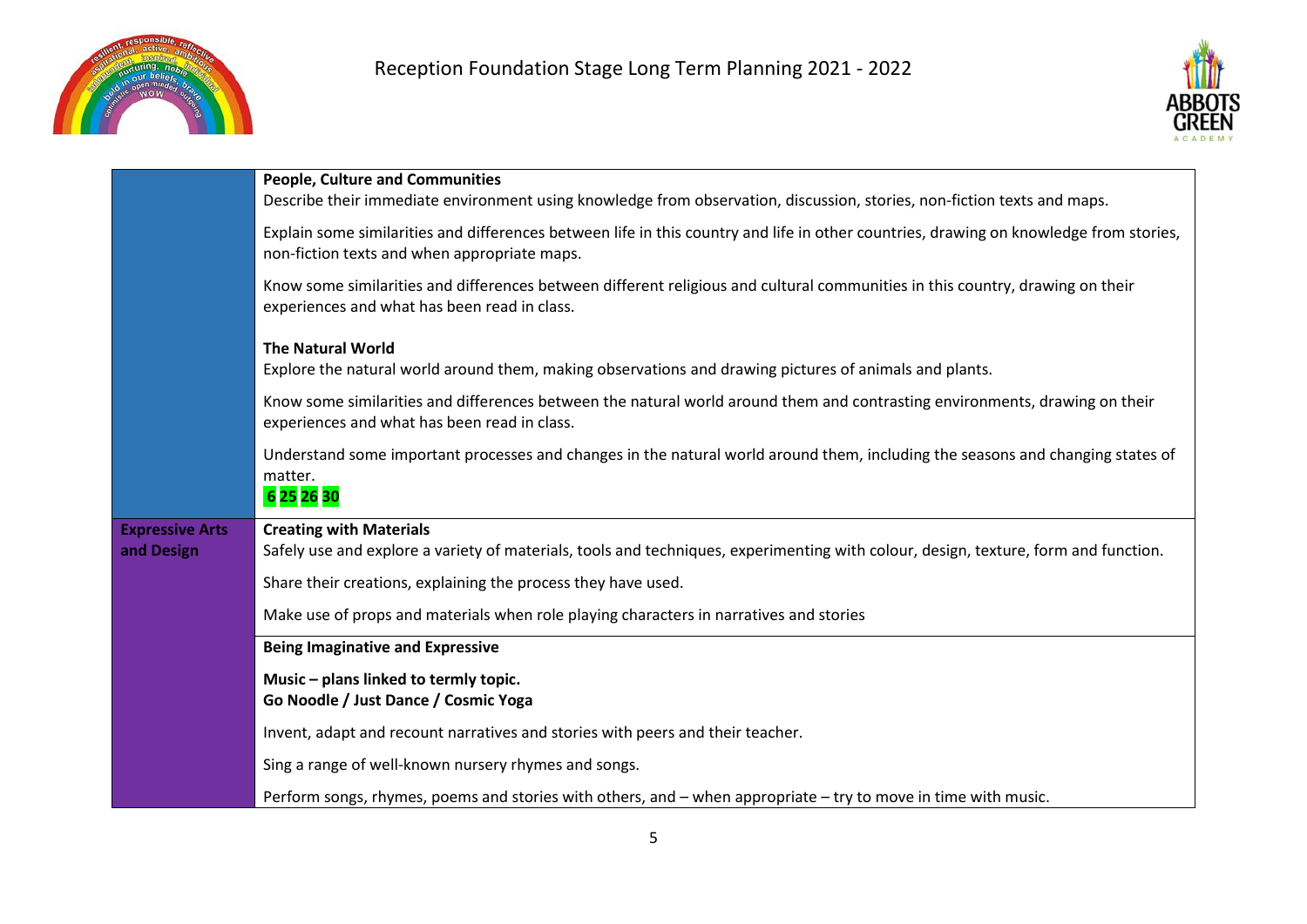



|                                      | <b>People, Culture and Communities</b><br>Describe their immediate environment using knowledge from observation, discussion, stories, non-fiction texts and maps.                      |  |
|--------------------------------------|----------------------------------------------------------------------------------------------------------------------------------------------------------------------------------------|--|
|                                      | Explain some similarities and differences between life in this country and life in other countries, drawing on knowledge from stories,<br>non-fiction texts and when appropriate maps. |  |
|                                      | Know some similarities and differences between different religious and cultural communities in this country, drawing on their<br>experiences and what has been read in class.          |  |
|                                      | <b>The Natural World</b><br>Explore the natural world around them, making observations and drawing pictures of animals and plants.                                                     |  |
|                                      | Know some similarities and differences between the natural world around them and contrasting environments, drawing on their<br>experiences and what has been read in class.            |  |
|                                      | Understand some important processes and changes in the natural world around them, including the seasons and changing states of<br>matter.<br>6 25 26 30                                |  |
| <b>Expressive Arts</b><br>and Design | <b>Creating with Materials</b><br>Safely use and explore a variety of materials, tools and techniques, experimenting with colour, design, texture, form and function.                  |  |
|                                      | Share their creations, explaining the process they have used.                                                                                                                          |  |
|                                      | Make use of props and materials when role playing characters in narratives and stories                                                                                                 |  |
|                                      | <b>Being Imaginative and Expressive</b>                                                                                                                                                |  |
|                                      | Music - plans linked to termly topic.<br>Go Noodle / Just Dance / Cosmic Yoga                                                                                                          |  |
|                                      | Invent, adapt and recount narratives and stories with peers and their teacher.                                                                                                         |  |
|                                      | Sing a range of well-known nursery rhymes and songs.                                                                                                                                   |  |
|                                      | Perform songs, rhymes, poems and stories with others, and – when appropriate – try to move in time with music.                                                                         |  |